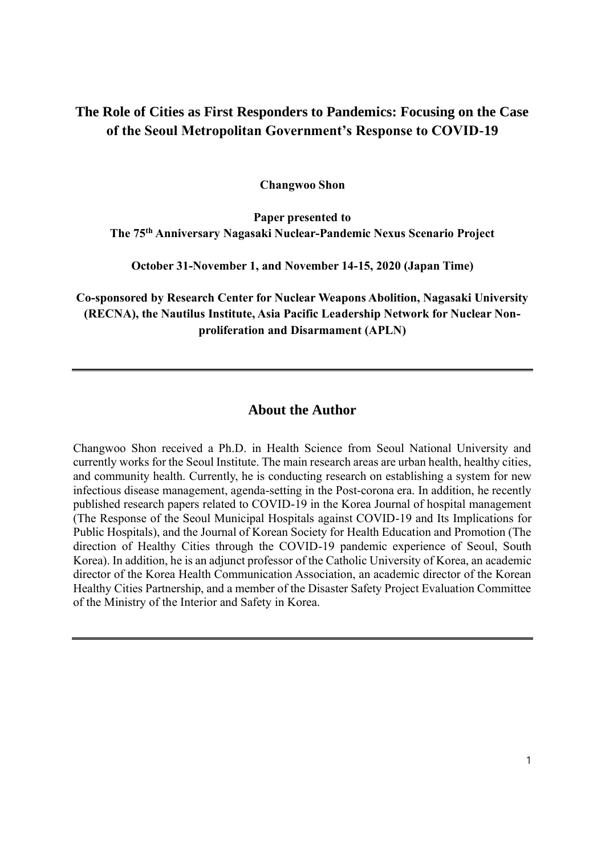# **The Role of Cities as First Responders to Pandemics: Focusing on the Case of the Seoul Metropolitan Government's Response to COVID-19**

**Changwoo Shon**

**Paper presented to The 75th Anniversary Nagasaki Nuclear-Pandemic Nexus Scenario Project**

**October 31-November 1, and November 14-15, 2020 (Japan Time)**

**Co-sponsored by Research Center for Nuclear Weapons Abolition, Nagasaki University (RECNA), the Nautilus Institute, Asia Pacific Leadership Network for Nuclear Nonproliferation and Disarmament (APLN)**

# **About the Author**

Changwoo Shon received a Ph.D. in Health Science from Seoul National University and currently works for the Seoul Institute. The main research areas are urban health, healthy cities, and community health. Currently, he is conducting research on establishing a system for new infectious disease management, agenda-setting in the Post-corona era. In addition, he recently published research papers related to COVID-19 in the Korea Journal of hospital management (The Response of the Seoul Municipal Hospitals against COVID-19 and Its Implications for Public Hospitals), and the Journal of Korean Society for Health Education and Promotion (The direction of Healthy Cities through the COVID-19 pandemic experience of Seoul, South Korea). In addition, he is an adjunct professor of the Catholic University of Korea, an academic director of the Korea Health Communication Association, an academic director of the Korean Healthy Cities Partnership, and a member of the Disaster Safety Project Evaluation Committee of the Ministry of the Interior and Safety in Korea.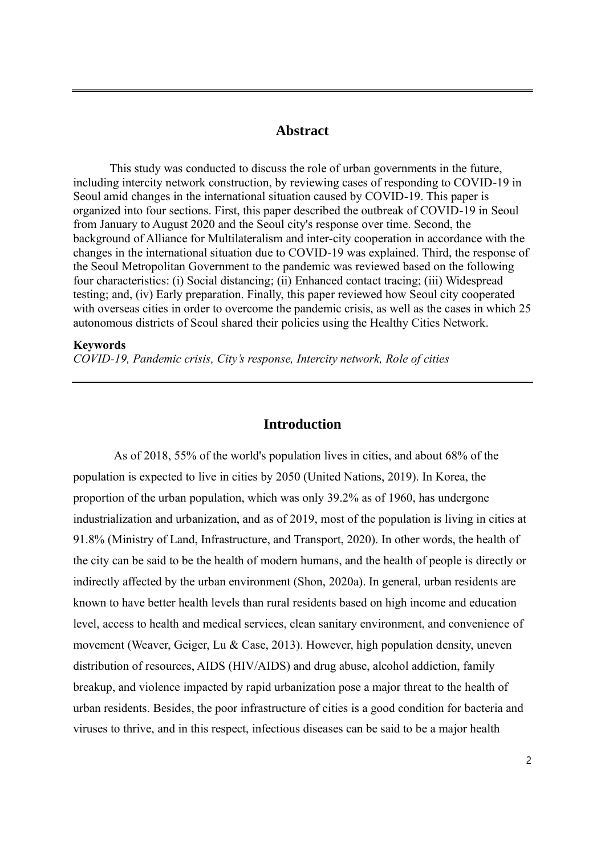# **Abstract**

This study was conducted to discuss the role of urban governments in the future, including intercity network construction, by reviewing cases of responding to COVID-19 in Seoul amid changes in the international situation caused by COVID-19. This paper is organized into four sections. First, this paper described the outbreak of COVID-19 in Seoul from January to August 2020 and the Seoul city's response over time. Second, the background of Alliance for Multilateralism and inter-city cooperation in accordance with the changes in the international situation due to COVID-19 was explained. Third, the response of the Seoul Metropolitan Government to the pandemic was reviewed based on the following four characteristics: (i) Social distancing; (ii) Enhanced contact tracing; (iii) Widespread testing; and, (iv) Early preparation. Finally, this paper reviewed how Seoul city cooperated with overseas cities in order to overcome the pandemic crisis, as well as the cases in which 25 autonomous districts of Seoul shared their policies using the Healthy Cities Network.

#### **Keywords**

*COVID-19, Pandemic crisis, City's response, Intercity network, Role of cities*

### **Introduction**

As of 2018, 55% of the world's population lives in cities, and about 68% of the population is expected to live in cities by 2050 (United Nations, 2019). In Korea, the proportion of the urban population, which was only 39.2% as of 1960, has undergone industrialization and urbanization, and as of 2019, most of the population is living in cities at 91.8% (Ministry of Land, Infrastructure, and Transport, 2020). In other words, the health of the city can be said to be the health of modern humans, and the health of people is directly or indirectly affected by the urban environment (Shon, 2020a). In general, urban residents are known to have better health levels than rural residents based on high income and education level, access to health and medical services, clean sanitary environment, and convenience of movement (Weaver, Geiger, Lu & Case, 2013). However, high population density, uneven distribution of resources, AIDS (HIV/AIDS) and drug abuse, alcohol addiction, family breakup, and violence impacted by rapid urbanization pose a major threat to the health of urban residents. Besides, the poor infrastructure of cities is a good condition for bacteria and viruses to thrive, and in this respect, infectious diseases can be said to be a major health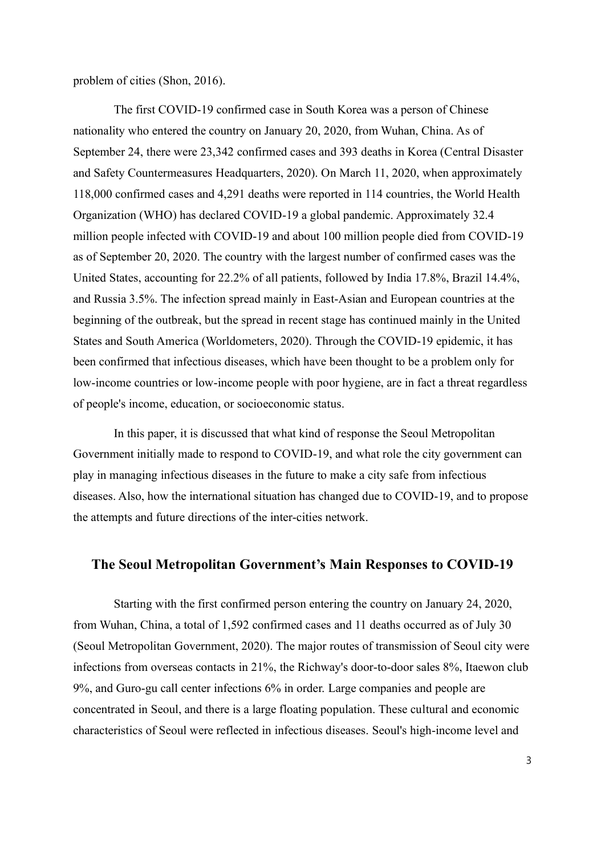problem of cities (Shon, 2016).

The first COVID-19 confirmed case in South Korea was a person of Chinese nationality who entered the country on January 20, 2020, from Wuhan, China. As of September 24, there were 23,342 confirmed cases and 393 deaths in Korea (Central Disaster and Safety Countermeasures Headquarters, 2020). On March 11, 2020, when approximately 118,000 confirmed cases and 4,291 deaths were reported in 114 countries, the World Health Organization (WHO) has declared COVID-19 a global pandemic. Approximately 32.4 million people infected with COVID-19 and about 100 million people died from COVID-19 as of September 20, 2020. The country with the largest number of confirmed cases was the United States, accounting for 22.2% of all patients, followed by India 17.8%, Brazil 14.4%, and Russia 3.5%. The infection spread mainly in East-Asian and European countries at the beginning of the outbreak, but the spread in recent stage has continued mainly in the United States and South America (Worldometers, 2020). Through the COVID-19 epidemic, it has been confirmed that infectious diseases, which have been thought to be a problem only for low-income countries or low-income people with poor hygiene, are in fact a threat regardless of people's income, education, or socioeconomic status.

In this paper, it is discussed that what kind of response the Seoul Metropolitan Government initially made to respond to COVID-19, and what role the city government can play in managing infectious diseases in the future to make a city safe from infectious diseases. Also, how the international situation has changed due to COVID-19, and to propose the attempts and future directions of the inter-cities network.

## **The Seoul Metropolitan Government's Main Responses to COVID-19**

Starting with the first confirmed person entering the country on January 24, 2020, from Wuhan, China, a total of 1,592 confirmed cases and 11 deaths occurred as of July 30 (Seoul Metropolitan Government, 2020). The major routes of transmission of Seoul city were infections from overseas contacts in 21%, the Richway's door-to-door sales 8%, Itaewon club 9%, and Guro-gu call center infections 6% in order. Large companies and people are concentrated in Seoul, and there is a large floating population. These cultural and economic characteristics of Seoul were reflected in infectious diseases. Seoul's high-income level and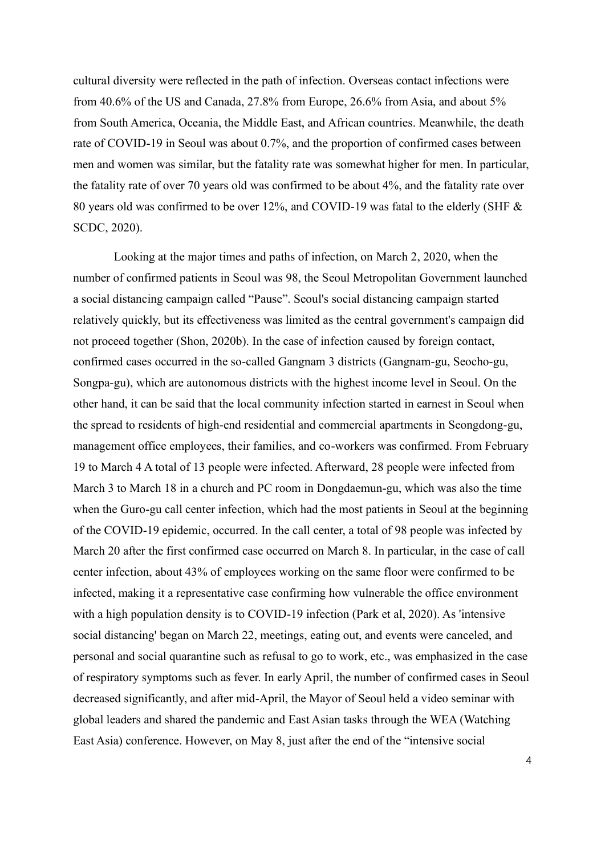cultural diversity were reflected in the path of infection. Overseas contact infections were from 40.6% of the US and Canada, 27.8% from Europe, 26.6% from Asia, and about 5% from South America, Oceania, the Middle East, and African countries. Meanwhile, the death rate of COVID-19 in Seoul was about 0.7%, and the proportion of confirmed cases between men and women was similar, but the fatality rate was somewhat higher for men. In particular, the fatality rate of over 70 years old was confirmed to be about 4%, and the fatality rate over 80 years old was confirmed to be over 12%, and COVID-19 was fatal to the elderly (SHF & SCDC, 2020).

Looking at the major times and paths of infection, on March 2, 2020, when the number of confirmed patients in Seoul was 98, the Seoul Metropolitan Government launched a social distancing campaign called "Pause". Seoul's social distancing campaign started relatively quickly, but its effectiveness was limited as the central government's campaign did not proceed together (Shon, 2020b). In the case of infection caused by foreign contact, confirmed cases occurred in the so-called Gangnam 3 districts (Gangnam-gu, Seocho-gu, Songpa-gu), which are autonomous districts with the highest income level in Seoul. On the other hand, it can be said that the local community infection started in earnest in Seoul when the spread to residents of high-end residential and commercial apartments in Seongdong-gu, management office employees, their families, and co-workers was confirmed. From February 19 to March 4 A total of 13 people were infected. Afterward, 28 people were infected from March 3 to March 18 in a church and PC room in Dongdaemun-gu, which was also the time when the Guro-gu call center infection, which had the most patients in Seoul at the beginning of the COVID-19 epidemic, occurred. In the call center, a total of 98 people was infected by March 20 after the first confirmed case occurred on March 8. In particular, in the case of call center infection, about 43% of employees working on the same floor were confirmed to be infected, making it a representative case confirming how vulnerable the office environment with a high population density is to COVID-19 infection (Park et al, 2020). As 'intensive social distancing' began on March 22, meetings, eating out, and events were canceled, and personal and social quarantine such as refusal to go to work, etc., was emphasized in the case of respiratory symptoms such as fever. In early April, the number of confirmed cases in Seoul decreased significantly, and after mid-April, the Mayor of Seoul held a video seminar with global leaders and shared the pandemic and East Asian tasks through the WEA (Watching East Asia) conference. However, on May 8, just after the end of the "intensive social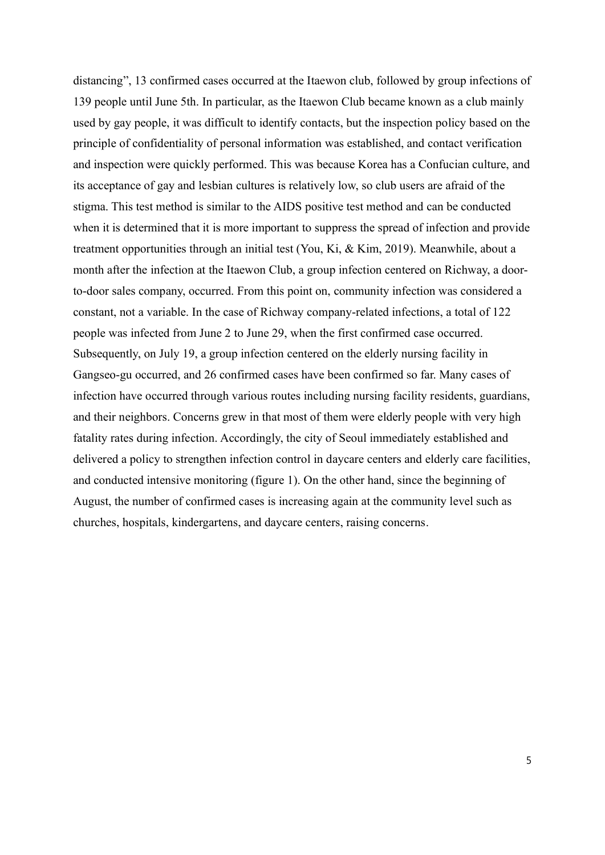distancing", 13 confirmed cases occurred at the Itaewon club, followed by group infections of 139 people until June 5th. In particular, as the Itaewon Club became known as a club mainly used by gay people, it was difficult to identify contacts, but the inspection policy based on the principle of confidentiality of personal information was established, and contact verification and inspection were quickly performed. This was because Korea has a Confucian culture, and its acceptance of gay and lesbian cultures is relatively low, so club users are afraid of the stigma. This test method is similar to the AIDS positive test method and can be conducted when it is determined that it is more important to suppress the spread of infection and provide treatment opportunities through an initial test (You, Ki, & Kim, 2019). Meanwhile, about a month after the infection at the Itaewon Club, a group infection centered on Richway, a doorto-door sales company, occurred. From this point on, community infection was considered a constant, not a variable. In the case of Richway company-related infections, a total of 122 people was infected from June 2 to June 29, when the first confirmed case occurred. Subsequently, on July 19, a group infection centered on the elderly nursing facility in Gangseo-gu occurred, and 26 confirmed cases have been confirmed so far. Many cases of infection have occurred through various routes including nursing facility residents, guardians, and their neighbors. Concerns grew in that most of them were elderly people with very high fatality rates during infection. Accordingly, the city of Seoul immediately established and delivered a policy to strengthen infection control in daycare centers and elderly care facilities, and conducted intensive monitoring (figure 1). On the other hand, since the beginning of August, the number of confirmed cases is increasing again at the community level such as churches, hospitals, kindergartens, and daycare centers, raising concerns.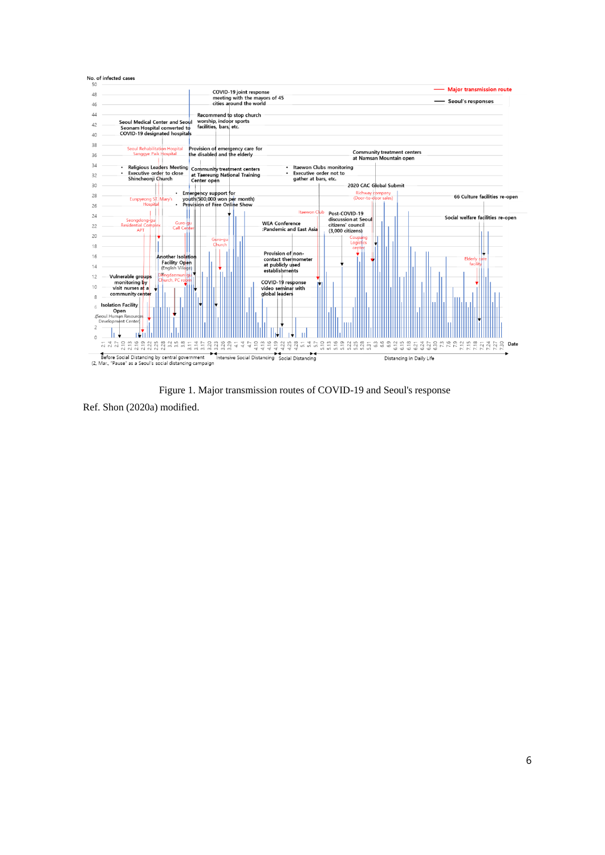

Figure 1. Major transmission routes of COVID-19 and Seoul's response

Ref. Shon (2020a) modified.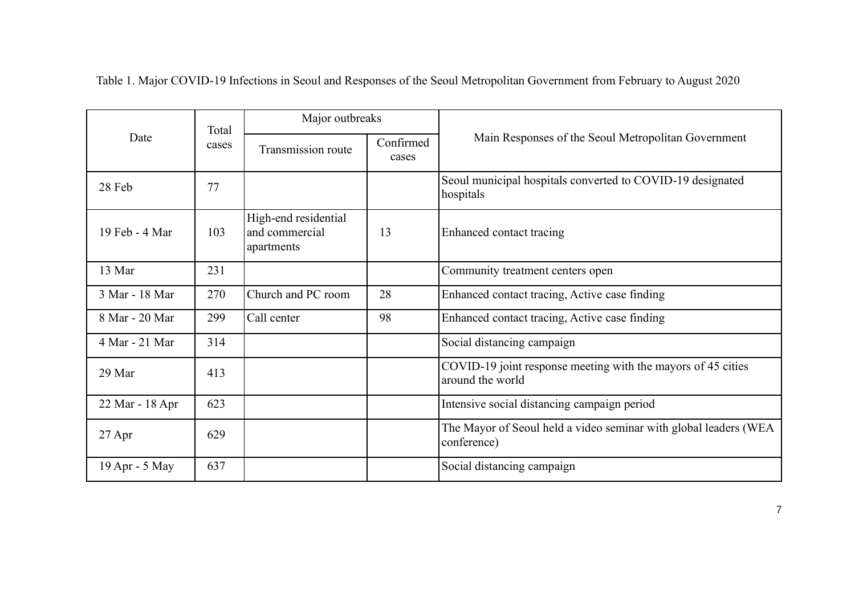| Date            | Total<br>cases | Major outbreaks                                      |                    |                                                                                  |
|-----------------|----------------|------------------------------------------------------|--------------------|----------------------------------------------------------------------------------|
|                 |                | Transmission route                                   | Confirmed<br>cases | Main Responses of the Seoul Metropolitan Government                              |
| 28 Feb          | 77             |                                                      |                    | Seoul municipal hospitals converted to COVID-19 designated<br>hospitals          |
| 19 Feb - 4 Mar  | 103            | High-end residential<br>and commercial<br>apartments | 13                 | Enhanced contact tracing                                                         |
| 13 Mar          | 231            |                                                      |                    | Community treatment centers open                                                 |
| 3 Mar - 18 Mar  | 270            | Church and PC room                                   | 28                 | Enhanced contact tracing, Active case finding                                    |
| 8 Mar - 20 Mar  | 299            | Call center                                          | 98                 | Enhanced contact tracing, Active case finding                                    |
| 4 Mar - 21 Mar  | 314            |                                                      |                    | Social distancing campaign                                                       |
| 29 Mar          | 413            |                                                      |                    | COVID-19 joint response meeting with the mayors of 45 cities<br>around the world |
| 22 Mar - 18 Apr | 623            |                                                      |                    | Intensive social distancing campaign period                                      |
| 27 Apr          | 629            |                                                      |                    | The Mayor of Seoul held a video seminar with global leaders (WEA<br>conference)  |
| 19 Apr - 5 May  | 637            |                                                      |                    | Social distancing campaign                                                       |

Table 1. Major COVID-19 Infections in Seoul and Responses of the Seoul Metropolitan Government from February to August 2020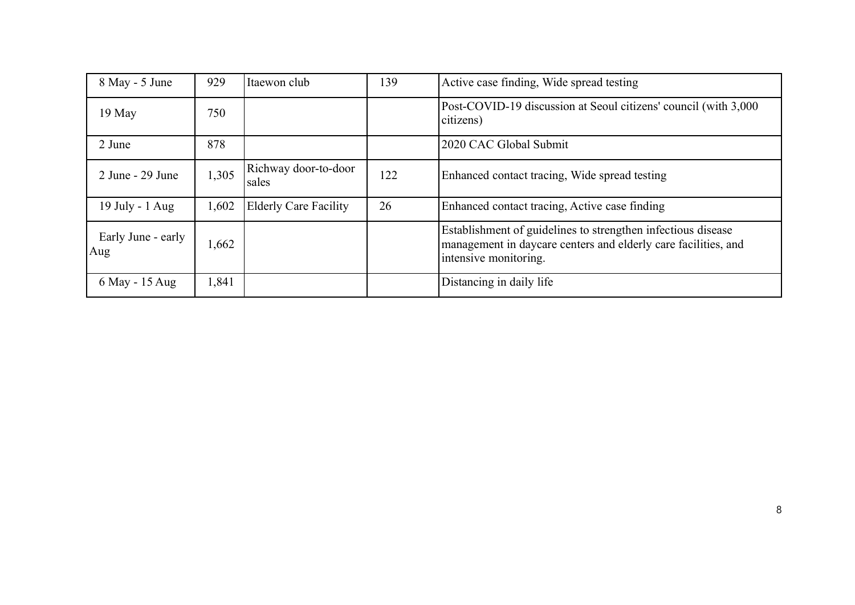| 8 May - 5 June            | 929   | Itaewon club                  | 139 | Active case finding, Wide spread testing                                                                                                                |
|---------------------------|-------|-------------------------------|-----|---------------------------------------------------------------------------------------------------------------------------------------------------------|
| 19 May                    | 750   |                               |     | Post-COVID-19 discussion at Seoul citizens' council (with 3,000)<br>citizens)                                                                           |
| 2 June                    | 878   |                               |     | 2020 CAC Global Submit                                                                                                                                  |
| 2 June - 29 June          | 1,305 | Richway door-to-door<br>sales | 122 | Enhanced contact tracing, Wide spread testing                                                                                                           |
| 19 July - 1 Aug           | 1,602 | <b>Elderly Care Facility</b>  | 26  | Enhanced contact tracing, Active case finding                                                                                                           |
| Early June - early<br>Aug | 1,662 |                               |     | Establishment of guidelines to strengthen infectious disease<br>management in daycare centers and elderly care facilities, and<br>intensive monitoring. |
| 6 May - 15 Aug            | 1,841 |                               |     | Distancing in daily life                                                                                                                                |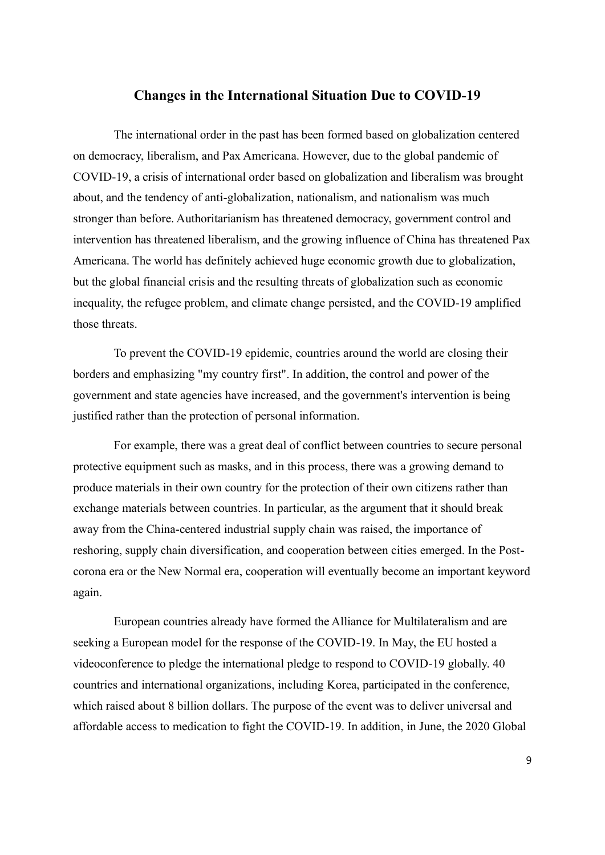## **Changes in the International Situation Due to COVID-19**

The international order in the past has been formed based on globalization centered on democracy, liberalism, and Pax Americana. However, due to the global pandemic of COVID-19, a crisis of international order based on globalization and liberalism was brought about, and the tendency of anti-globalization, nationalism, and nationalism was much stronger than before. Authoritarianism has threatened democracy, government control and intervention has threatened liberalism, and the growing influence of China has threatened Pax Americana. The world has definitely achieved huge economic growth due to globalization, but the global financial crisis and the resulting threats of globalization such as economic inequality, the refugee problem, and climate change persisted, and the COVID-19 amplified those threats.

To prevent the COVID-19 epidemic, countries around the world are closing their borders and emphasizing "my country first". In addition, the control and power of the government and state agencies have increased, and the government's intervention is being justified rather than the protection of personal information.

For example, there was a great deal of conflict between countries to secure personal protective equipment such as masks, and in this process, there was a growing demand to produce materials in their own country for the protection of their own citizens rather than exchange materials between countries. In particular, as the argument that it should break away from the China-centered industrial supply chain was raised, the importance of reshoring, supply chain diversification, and cooperation between cities emerged. In the Postcorona era or the New Normal era, cooperation will eventually become an important keyword again.

European countries already have formed the Alliance for Multilateralism and are seeking a European model for the response of the COVID-19. In May, the EU hosted a videoconference to pledge the international pledge to respond to COVID-19 globally. 40 countries and international organizations, including Korea, participated in the conference, which raised about 8 billion dollars. The purpose of the event was to deliver universal and affordable access to medication to fight the COVID-19. In addition, in June, the 2020 Global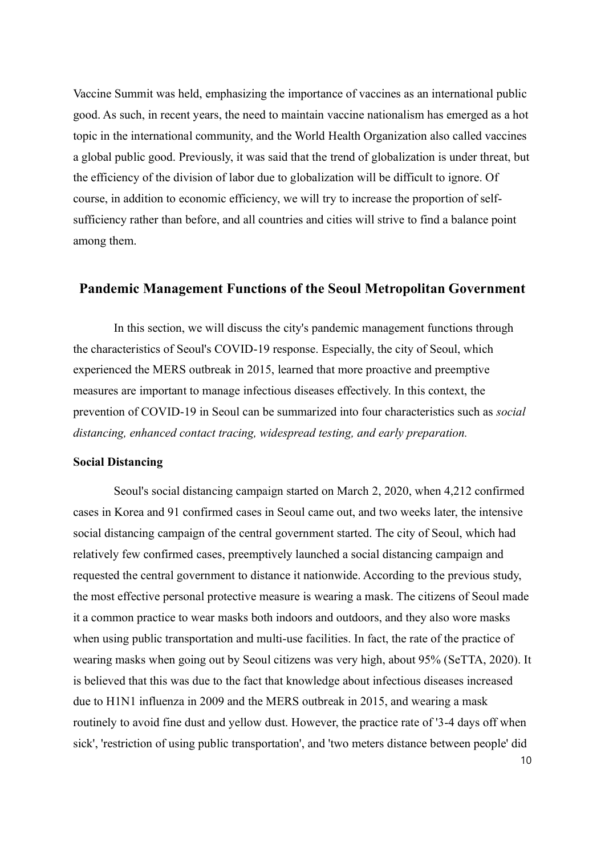Vaccine Summit was held, emphasizing the importance of vaccines as an international public good. As such, in recent years, the need to maintain vaccine nationalism has emerged as a hot topic in the international community, and the World Health Organization also called vaccines a global public good. Previously, it was said that the trend of globalization is under threat, but the efficiency of the division of labor due to globalization will be difficult to ignore. Of course, in addition to economic efficiency, we will try to increase the proportion of selfsufficiency rather than before, and all countries and cities will strive to find a balance point among them.

# **Pandemic Management Functions of the Seoul Metropolitan Government**

In this section, we will discuss the city's pandemic management functions through the characteristics of Seoul's COVID-19 response. Especially, the city of Seoul, which experienced the MERS outbreak in 2015, learned that more proactive and preemptive measures are important to manage infectious diseases effectively. In this context, the prevention of COVID-19 in Seoul can be summarized into four characteristics such as *social distancing, enhanced contact tracing, widespread testing, and early preparation.*

#### **Social Distancing**

10 Seoul's social distancing campaign started on March 2, 2020, when 4,212 confirmed cases in Korea and 91 confirmed cases in Seoul came out, and two weeks later, the intensive social distancing campaign of the central government started. The city of Seoul, which had relatively few confirmed cases, preemptively launched a social distancing campaign and requested the central government to distance it nationwide. According to the previous study, the most effective personal protective measure is wearing a mask. The citizens of Seoul made it a common practice to wear masks both indoors and outdoors, and they also wore masks when using public transportation and multi-use facilities. In fact, the rate of the practice of wearing masks when going out by Seoul citizens was very high, about 95% (SeTTA, 2020). It is believed that this was due to the fact that knowledge about infectious diseases increased due to H1N1 influenza in 2009 and the MERS outbreak in 2015, and wearing a mask routinely to avoid fine dust and yellow dust. However, the practice rate of '3-4 days off when sick', 'restriction of using public transportation', and 'two meters distance between people' did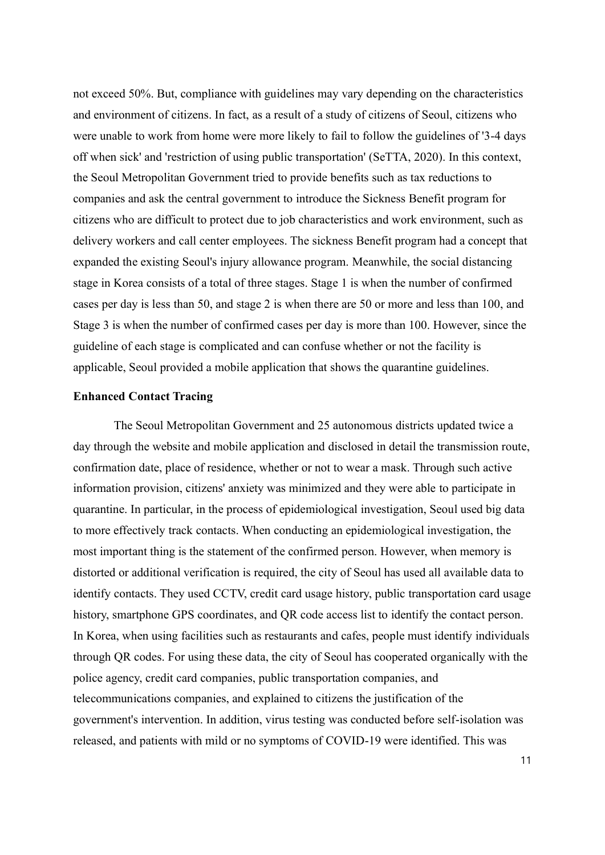not exceed 50%. But, compliance with guidelines may vary depending on the characteristics and environment of citizens. In fact, as a result of a study of citizens of Seoul, citizens who were unable to work from home were more likely to fail to follow the guidelines of '3-4 days off when sick' and 'restriction of using public transportation' (SeTTA, 2020). In this context, the Seoul Metropolitan Government tried to provide benefits such as tax reductions to companies and ask the central government to introduce the Sickness Benefit program for citizens who are difficult to protect due to job characteristics and work environment, such as delivery workers and call center employees. The sickness Benefit program had a concept that expanded the existing Seoul's injury allowance program. Meanwhile, the social distancing stage in Korea consists of a total of three stages. Stage 1 is when the number of confirmed cases per day is less than 50, and stage 2 is when there are 50 or more and less than 100, and Stage 3 is when the number of confirmed cases per day is more than 100. However, since the guideline of each stage is complicated and can confuse whether or not the facility is applicable, Seoul provided a mobile application that shows the quarantine guidelines.

### **Enhanced Contact Tracing**

The Seoul Metropolitan Government and 25 autonomous districts updated twice a day through the website and mobile application and disclosed in detail the transmission route, confirmation date, place of residence, whether or not to wear a mask. Through such active information provision, citizens' anxiety was minimized and they were able to participate in quarantine. In particular, in the process of epidemiological investigation, Seoul used big data to more effectively track contacts. When conducting an epidemiological investigation, the most important thing is the statement of the confirmed person. However, when memory is distorted or additional verification is required, the city of Seoul has used all available data to identify contacts. They used CCTV, credit card usage history, public transportation card usage history, smartphone GPS coordinates, and QR code access list to identify the contact person. In Korea, when using facilities such as restaurants and cafes, people must identify individuals through QR codes. For using these data, the city of Seoul has cooperated organically with the police agency, credit card companies, public transportation companies, and telecommunications companies, and explained to citizens the justification of the government's intervention. In addition, virus testing was conducted before self-isolation was released, and patients with mild or no symptoms of COVID-19 were identified. This was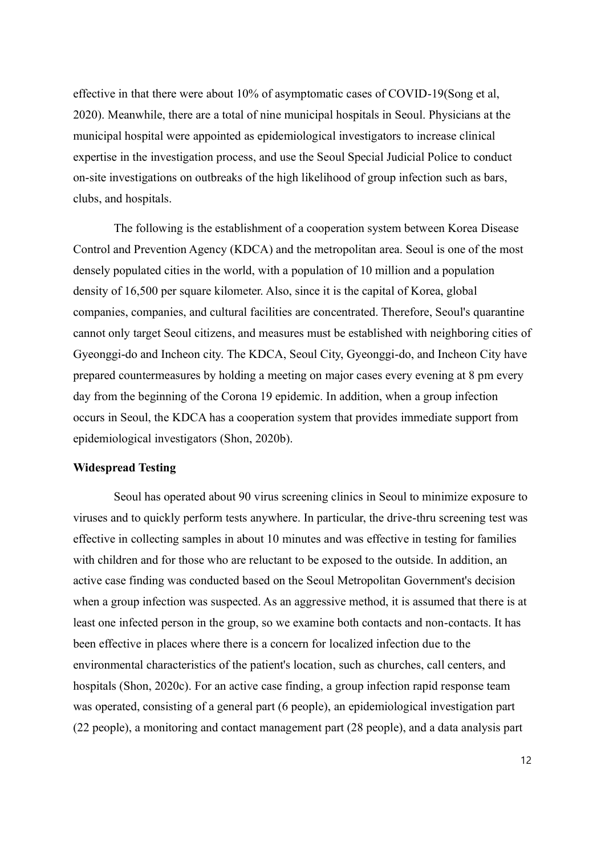effective in that there were about 10% of asymptomatic cases of COVID-19(Song et al, 2020). Meanwhile, there are a total of nine municipal hospitals in Seoul. Physicians at the municipal hospital were appointed as epidemiological investigators to increase clinical expertise in the investigation process, and use the Seoul Special Judicial Police to conduct on-site investigations on outbreaks of the high likelihood of group infection such as bars, clubs, and hospitals.

The following is the establishment of a cooperation system between Korea Disease Control and Prevention Agency (KDCA) and the metropolitan area. Seoul is one of the most densely populated cities in the world, with a population of 10 million and a population density of 16,500 per square kilometer. Also, since it is the capital of Korea, global companies, companies, and cultural facilities are concentrated. Therefore, Seoul's quarantine cannot only target Seoul citizens, and measures must be established with neighboring cities of Gyeonggi-do and Incheon city. The KDCA, Seoul City, Gyeonggi-do, and Incheon City have prepared countermeasures by holding a meeting on major cases every evening at 8 pm every day from the beginning of the Corona 19 epidemic. In addition, when a group infection occurs in Seoul, the KDCA has a cooperation system that provides immediate support from epidemiological investigators (Shon, 2020b).

### **Widespread Testing**

Seoul has operated about 90 virus screening clinics in Seoul to minimize exposure to viruses and to quickly perform tests anywhere. In particular, the drive-thru screening test was effective in collecting samples in about 10 minutes and was effective in testing for families with children and for those who are reluctant to be exposed to the outside. In addition, an active case finding was conducted based on the Seoul Metropolitan Government's decision when a group infection was suspected. As an aggressive method, it is assumed that there is at least one infected person in the group, so we examine both contacts and non-contacts. It has been effective in places where there is a concern for localized infection due to the environmental characteristics of the patient's location, such as churches, call centers, and hospitals (Shon, 2020c). For an active case finding, a group infection rapid response team was operated, consisting of a general part (6 people), an epidemiological investigation part (22 people), a monitoring and contact management part (28 people), and a data analysis part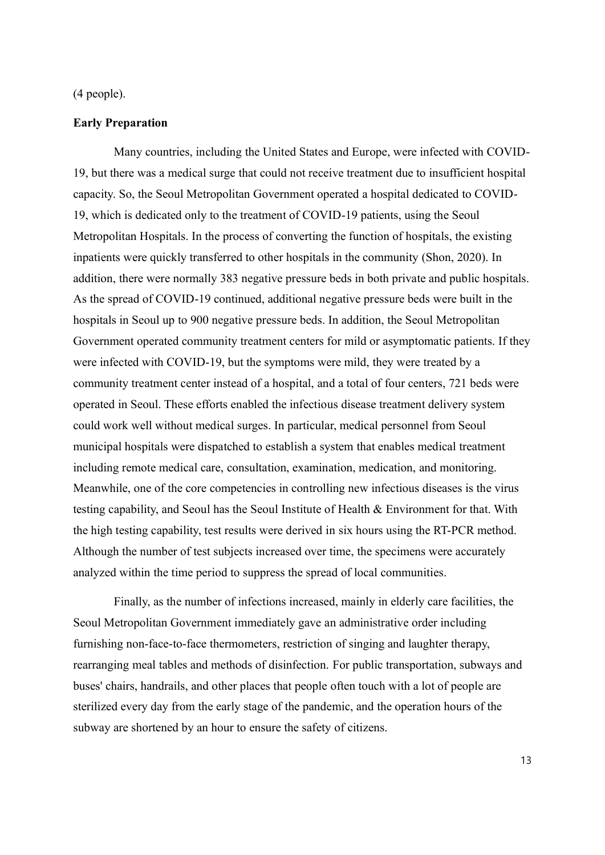#### (4 people).

#### **Early Preparation**

Many countries, including the United States and Europe, were infected with COVID-19, but there was a medical surge that could not receive treatment due to insufficient hospital capacity. So, the Seoul Metropolitan Government operated a hospital dedicated to COVID-19, which is dedicated only to the treatment of COVID-19 patients, using the Seoul Metropolitan Hospitals. In the process of converting the function of hospitals, the existing inpatients were quickly transferred to other hospitals in the community (Shon, 2020). In addition, there were normally 383 negative pressure beds in both private and public hospitals. As the spread of COVID-19 continued, additional negative pressure beds were built in the hospitals in Seoul up to 900 negative pressure beds. In addition, the Seoul Metropolitan Government operated community treatment centers for mild or asymptomatic patients. If they were infected with COVID-19, but the symptoms were mild, they were treated by a community treatment center instead of a hospital, and a total of four centers, 721 beds were operated in Seoul. These efforts enabled the infectious disease treatment delivery system could work well without medical surges. In particular, medical personnel from Seoul municipal hospitals were dispatched to establish a system that enables medical treatment including remote medical care, consultation, examination, medication, and monitoring. Meanwhile, one of the core competencies in controlling new infectious diseases is the virus testing capability, and Seoul has the Seoul Institute of Health & Environment for that. With the high testing capability, test results were derived in six hours using the RT-PCR method. Although the number of test subjects increased over time, the specimens were accurately analyzed within the time period to suppress the spread of local communities.

Finally, as the number of infections increased, mainly in elderly care facilities, the Seoul Metropolitan Government immediately gave an administrative order including furnishing non-face-to-face thermometers, restriction of singing and laughter therapy, rearranging meal tables and methods of disinfection. For public transportation, subways and buses' chairs, handrails, and other places that people often touch with a lot of people are sterilized every day from the early stage of the pandemic, and the operation hours of the subway are shortened by an hour to ensure the safety of citizens.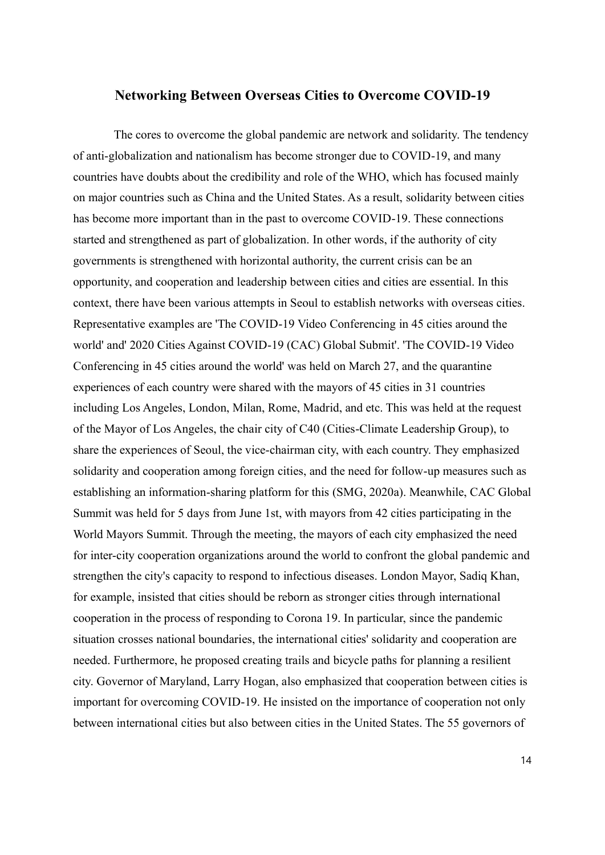### **Networking Between Overseas Cities to Overcome COVID-19**

The cores to overcome the global pandemic are network and solidarity. The tendency of anti-globalization and nationalism has become stronger due to COVID-19, and many countries have doubts about the credibility and role of the WHO, which has focused mainly on major countries such as China and the United States. As a result, solidarity between cities has become more important than in the past to overcome COVID-19. These connections started and strengthened as part of globalization. In other words, if the authority of city governments is strengthened with horizontal authority, the current crisis can be an opportunity, and cooperation and leadership between cities and cities are essential. In this context, there have been various attempts in Seoul to establish networks with overseas cities. Representative examples are 'The COVID-19 Video Conferencing in 45 cities around the world' and' 2020 Cities Against COVID-19 (CAC) Global Submit'. 'The COVID-19 Video Conferencing in 45 cities around the world' was held on March 27, and the quarantine experiences of each country were shared with the mayors of 45 cities in 31 countries including Los Angeles, London, Milan, Rome, Madrid, and etc. This was held at the request of the Mayor of Los Angeles, the chair city of C40 (Cities-Climate Leadership Group), to share the experiences of Seoul, the vice-chairman city, with each country. They emphasized solidarity and cooperation among foreign cities, and the need for follow-up measures such as establishing an information-sharing platform for this (SMG, 2020a). Meanwhile, CAC Global Summit was held for 5 days from June 1st, with mayors from 42 cities participating in the World Mayors Summit. Through the meeting, the mayors of each city emphasized the need for inter-city cooperation organizations around the world to confront the global pandemic and strengthen the city's capacity to respond to infectious diseases. London Mayor, Sadiq Khan, for example, insisted that cities should be reborn as stronger cities through international cooperation in the process of responding to Corona 19. In particular, since the pandemic situation crosses national boundaries, the international cities' solidarity and cooperation are needed. Furthermore, he proposed creating trails and bicycle paths for planning a resilient city. Governor of Maryland, Larry Hogan, also emphasized that cooperation between cities is important for overcoming COVID-19. He insisted on the importance of cooperation not only between international cities but also between cities in the United States. The 55 governors of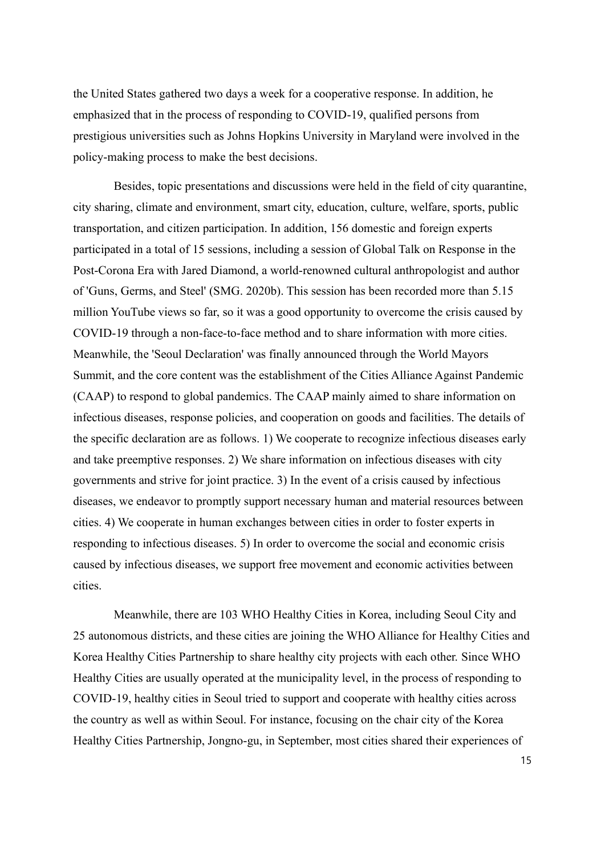the United States gathered two days a week for a cooperative response. In addition, he emphasized that in the process of responding to COVID-19, qualified persons from prestigious universities such as Johns Hopkins University in Maryland were involved in the policy-making process to make the best decisions.

Besides, topic presentations and discussions were held in the field of city quarantine, city sharing, climate and environment, smart city, education, culture, welfare, sports, public transportation, and citizen participation. In addition, 156 domestic and foreign experts participated in a total of 15 sessions, including a session of Global Talk on Response in the Post-Corona Era with Jared Diamond, a world-renowned cultural anthropologist and author of 'Guns, Germs, and Steel' (SMG. 2020b). This session has been recorded more than 5.15 million YouTube views so far, so it was a good opportunity to overcome the crisis caused by COVID-19 through a non-face-to-face method and to share information with more cities. Meanwhile, the 'Seoul Declaration' was finally announced through the World Mayors Summit, and the core content was the establishment of the Cities Alliance Against Pandemic (CAAP) to respond to global pandemics. The CAAP mainly aimed to share information on infectious diseases, response policies, and cooperation on goods and facilities. The details of the specific declaration are as follows. 1) We cooperate to recognize infectious diseases early and take preemptive responses. 2) We share information on infectious diseases with city governments and strive for joint practice. 3) In the event of a crisis caused by infectious diseases, we endeavor to promptly support necessary human and material resources between cities. 4) We cooperate in human exchanges between cities in order to foster experts in responding to infectious diseases. 5) In order to overcome the social and economic crisis caused by infectious diseases, we support free movement and economic activities between cities.

Meanwhile, there are 103 WHO Healthy Cities in Korea, including Seoul City and 25 autonomous districts, and these cities are joining the WHO Alliance for Healthy Cities and Korea Healthy Cities Partnership to share healthy city projects with each other. Since WHO Healthy Cities are usually operated at the municipality level, in the process of responding to COVID-19, healthy cities in Seoul tried to support and cooperate with healthy cities across the country as well as within Seoul. For instance, focusing on the chair city of the Korea Healthy Cities Partnership, Jongno-gu, in September, most cities shared their experiences of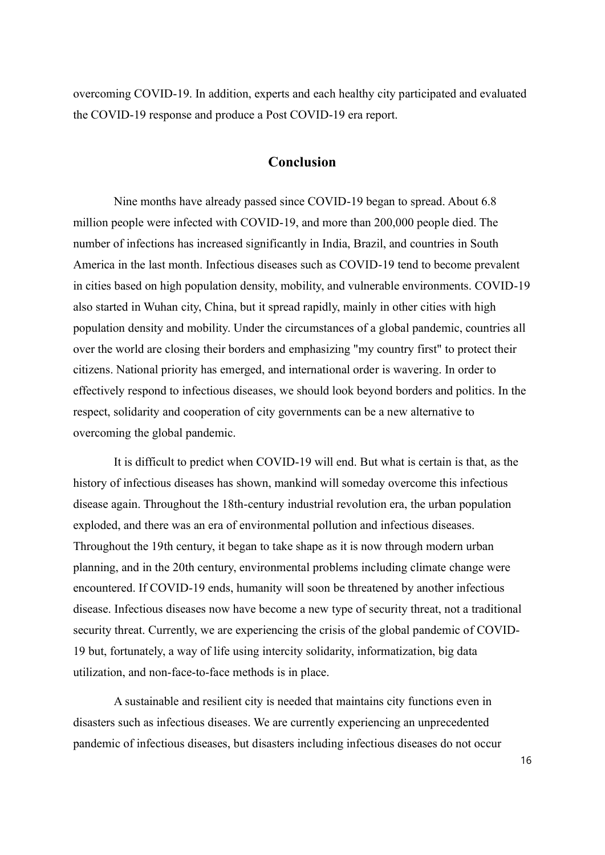overcoming COVID-19. In addition, experts and each healthy city participated and evaluated the COVID-19 response and produce a Post COVID-19 era report.

# **Conclusion**

Nine months have already passed since COVID-19 began to spread. About 6.8 million people were infected with COVID-19, and more than 200,000 people died. The number of infections has increased significantly in India, Brazil, and countries in South America in the last month. Infectious diseases such as COVID-19 tend to become prevalent in cities based on high population density, mobility, and vulnerable environments. COVID-19 also started in Wuhan city, China, but it spread rapidly, mainly in other cities with high population density and mobility. Under the circumstances of a global pandemic, countries all over the world are closing their borders and emphasizing "my country first" to protect their citizens. National priority has emerged, and international order is wavering. In order to effectively respond to infectious diseases, we should look beyond borders and politics. In the respect, solidarity and cooperation of city governments can be a new alternative to overcoming the global pandemic.

It is difficult to predict when COVID-19 will end. But what is certain is that, as the history of infectious diseases has shown, mankind will someday overcome this infectious disease again. Throughout the 18th-century industrial revolution era, the urban population exploded, and there was an era of environmental pollution and infectious diseases. Throughout the 19th century, it began to take shape as it is now through modern urban planning, and in the 20th century, environmental problems including climate change were encountered. If COVID-19 ends, humanity will soon be threatened by another infectious disease. Infectious diseases now have become a new type of security threat, not a traditional security threat. Currently, we are experiencing the crisis of the global pandemic of COVID-19 but, fortunately, a way of life using intercity solidarity, informatization, big data utilization, and non-face-to-face methods is in place.

A sustainable and resilient city is needed that maintains city functions even in disasters such as infectious diseases. We are currently experiencing an unprecedented pandemic of infectious diseases, but disasters including infectious diseases do not occur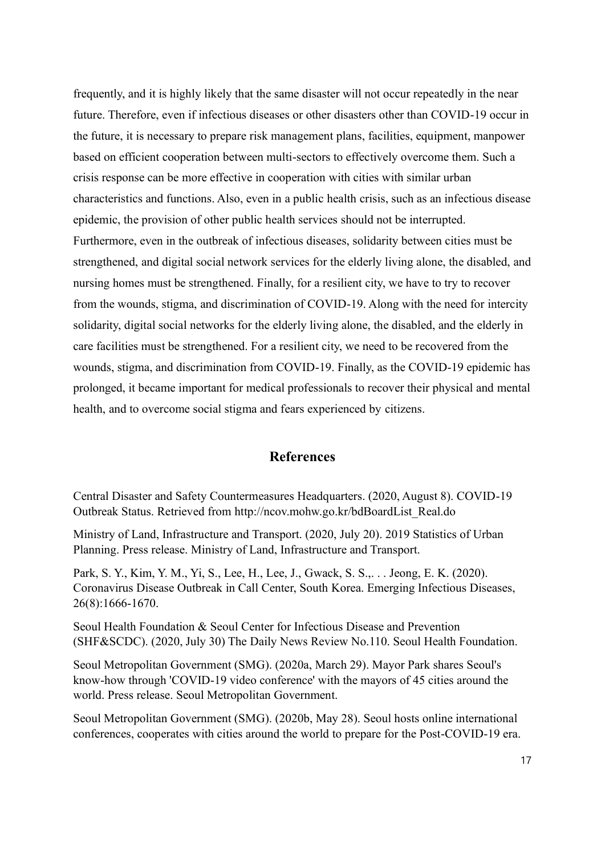frequently, and it is highly likely that the same disaster will not occur repeatedly in the near future. Therefore, even if infectious diseases or other disasters other than COVID-19 occur in the future, it is necessary to prepare risk management plans, facilities, equipment, manpower based on efficient cooperation between multi-sectors to effectively overcome them. Such a crisis response can be more effective in cooperation with cities with similar urban characteristics and functions. Also, even in a public health crisis, such as an infectious disease epidemic, the provision of other public health services should not be interrupted. Furthermore, even in the outbreak of infectious diseases, solidarity between cities must be strengthened, and digital social network services for the elderly living alone, the disabled, and nursing homes must be strengthened. Finally, for a resilient city, we have to try to recover from the wounds, stigma, and discrimination of COVID-19. Along with the need for intercity solidarity, digital social networks for the elderly living alone, the disabled, and the elderly in care facilities must be strengthened. For a resilient city, we need to be recovered from the wounds, stigma, and discrimination from COVID-19. Finally, as the COVID-19 epidemic has prolonged, it became important for medical professionals to recover their physical and mental health, and to overcome social stigma and fears experienced by citizens.

### **References**

Central Disaster and Safety Countermeasures Headquarters. (2020, August 8). COVID-19 Outbreak Status. Retrieved from http://ncov.mohw.go.kr/bdBoardList\_Real.do

Ministry of Land, Infrastructure and Transport. (2020, July 20). 2019 Statistics of Urban Planning. Press release. Ministry of Land, Infrastructure and Transport.

Park, S. Y., Kim, Y. M., Yi, S., Lee, H., Lee, J., Gwack, S. S.,. . . Jeong, E. K. (2020). Coronavirus Disease Outbreak in Call Center, South Korea. Emerging Infectious Diseases, 26(8):1666-1670.

Seoul Health Foundation & Seoul Center for Infectious Disease and Prevention (SHF&SCDC). (2020, July 30) The Daily News Review No.110. Seoul Health Foundation.

Seoul Metropolitan Government (SMG). (2020a, March 29). Mayor Park shares Seoul's know-how through 'COVID-19 video conference' with the mayors of 45 cities around the world. Press release. Seoul Metropolitan Government.

Seoul Metropolitan Government (SMG). (2020b, May 28). Seoul hosts online international conferences, cooperates with cities around the world to prepare for the Post-COVID-19 era.